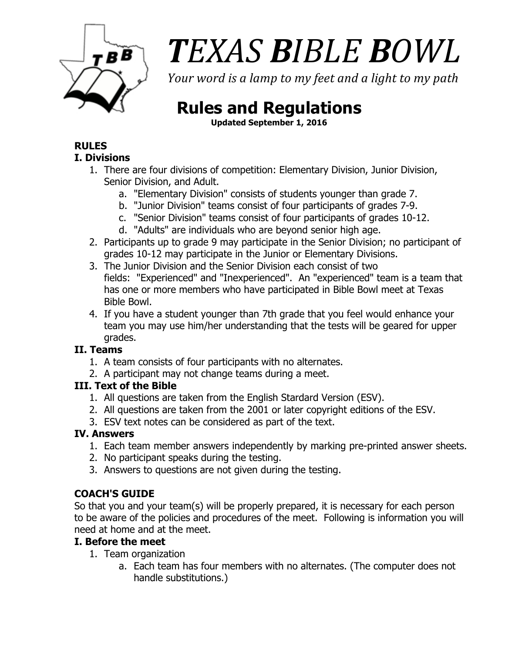

# $\vec{AB}$  *TEXAS BIBLE BOWL*

*Your word is a lamp to my feet and a light to my path* 

# **Rules and Regulations**

**Updated September 1, 2016**

#### **RULES I. Divisions**

- 1. There are four divisions of competition: Elementary Division, Junior Division, Senior Division, and Adult.
	- a. "Elementary Division" consists of students younger than grade 7.
	- b. "Junior Division" teams consist of four participants of grades 7-9.
	- c. "Senior Division" teams consist of four participants of grades 10-12.
	- d. "Adults" are individuals who are beyond senior high age.
- 2. Participants up to grade 9 may participate in the Senior Division; no participant of grades 10-12 may participate in the Junior or Elementary Divisions.
- 3. The Junior Division and the Senior Division each consist of two fields: "Experienced" and "Inexperienced". An "experienced" team is a team that has one or more members who have participated in Bible Bowl meet at Texas Bible Bowl.
- 4. If you have a student younger than 7th grade that you feel would enhance your team you may use him/her understanding that the tests will be geared for upper grades.

# **II. Teams**

- 1. A team consists of four participants with no alternates.
- 2. A participant may not change teams during a meet.

# **III. Text of the Bible**

- 1. All questions are taken from the English Stardard Version (ESV).
- 2. All questions are taken from the 2001 or later copyright editions of the ESV.
- 3. ESV text notes can be considered as part of the text.

# **IV. Answers**

- 1. Each team member answers independently by marking pre-printed answer sheets.
- 2. No participant speaks during the testing.
- 3. Answers to questions are not given during the testing.

# **COACH'S GUIDE**

So that you and your team(s) will be properly prepared, it is necessary for each person to be aware of the policies and procedures of the meet. Following is information you will need at home and at the meet.

# **I. Before the meet**

- 1. Team organization
	- a. Each team has four members with no alternates. (The computer does not handle substitutions.)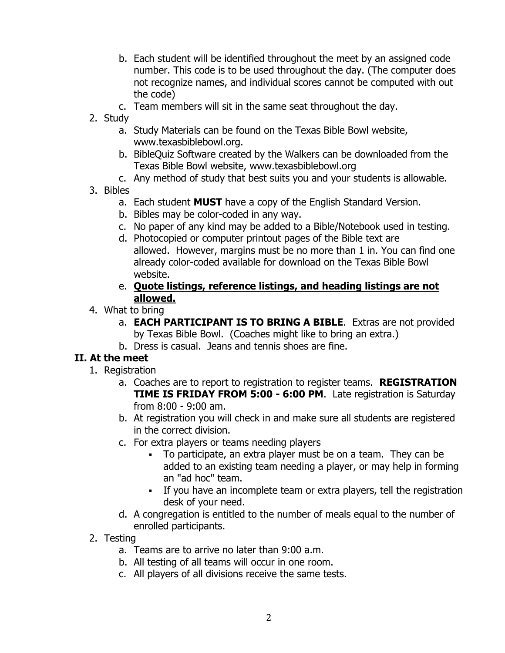- b. Each student will be identified throughout the meet by an assigned code number. This code is to be used throughout the day. (The computer does not recognize names, and individual scores cannot be computed with out the code)
- c. Team members will sit in the same seat throughout the day.
- 2. Study
	- a. Study Materials can be found on the Texas Bible Bowl website, www.texasbiblebowl.org.
	- b. BibleQuiz Software created by the Walkers can be downloaded from the Texas Bible Bowl website, www.texasbiblebowl.org
	- c. Any method of study that best suits you and your students is allowable.
- 3. Bibles
	- a. Each student **MUST** have a copy of the English Standard Version.
	- b. Bibles may be color-coded in any way.
	- c. No paper of any kind may be added to a Bible/Notebook used in testing.
	- d. Photocopied or computer printout pages of the Bible text are allowed. However, margins must be no more than 1 in. You can find one already color-coded available for download on the Texas Bible Bowl website.
	- e. **Quote listings, reference listings, and heading listings are not allowed.**
- 4. What to bring
	- a. **EACH PARTICIPANT IS TO BRING A BIBLE**. Extras are not provided by Texas Bible Bowl. (Coaches might like to bring an extra.)
	- b. Dress is casual. Jeans and tennis shoes are fine.

# **II. At the meet**

- 1. Registration
	- a. Coaches are to report to registration to register teams. **REGISTRATION TIME IS FRIDAY FROM 5:00 - 6:00 PM**. Late registration is Saturday from 8:00 - 9:00 am.
	- b. At registration you will check in and make sure all students are registered in the correct division.
	- c. For extra players or teams needing players
		- To participate, an extra player must be on a team. They can be added to an existing team needing a player, or may help in forming an "ad hoc" team.
		- If you have an incomplete team or extra players, tell the registration desk of your need.
	- d. A congregation is entitled to the number of meals equal to the number of enrolled participants.
- 2. Testing
	- a. Teams are to arrive no later than 9:00 a.m.
	- b. All testing of all teams will occur in one room.
	- c. All players of all divisions receive the same tests.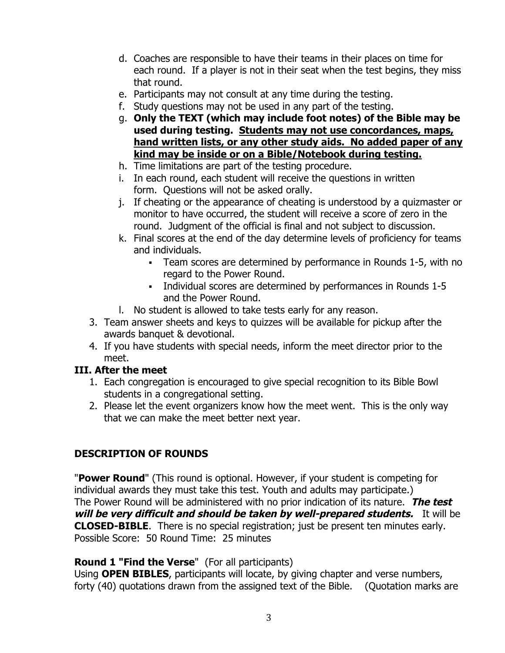- d. Coaches are responsible to have their teams in their places on time for each round. If a player is not in their seat when the test begins, they miss that round.
- e. Participants may not consult at any time during the testing.
- f. Study questions may not be used in any part of the testing.
- g. **Only the TEXT (which may include foot notes) of the Bible may be used during testing. Students may not use concordances, maps, hand written lists, or any other study aids. No added paper of any kind may be inside or on a Bible/Notebook during testing.**
- h. Time limitations are part of the testing procedure.
- i. In each round, each student will receive the questions in written form. Questions will not be asked orally.
- j. If cheating or the appearance of cheating is understood by a quizmaster or monitor to have occurred, the student will receive a score of zero in the round. Judgment of the official is final and not subject to discussion.
- k. Final scores at the end of the day determine levels of proficiency for teams and individuals.
	- § Team scores are determined by performance in Rounds 1-5, with no regard to the Power Round.
	- § Individual scores are determined by performances in Rounds 1-5 and the Power Round.
- l. No student is allowed to take tests early for any reason.
- 3. Team answer sheets and keys to quizzes will be available for pickup after the awards banquet & devotional.
- 4. If you have students with special needs, inform the meet director prior to the meet.

#### **III. After the meet**

- 1. Each congregation is encouraged to give special recognition to its Bible Bowl students in a congregational setting.
- 2. Please let the event organizers know how the meet went. This is the only way that we can make the meet better next year.

# **DESCRIPTION OF ROUNDS**

"**Power Round**" (This round is optional. However, if your student is competing for individual awards they must take this test. Youth and adults may participate.) The Power Round will be administered with no prior indication of its nature. **The test will be very difficult and should be taken by well-prepared students.** It will be **CLOSED-BIBLE**. There is no special registration; just be present ten minutes early. Possible Score: 50 Round Time: 25 minutes

#### **Round 1 "Find the Verse**" (For all participants)

Using **OPEN BIBLES**, participants will locate, by giving chapter and verse numbers, forty (40) quotations drawn from the assigned text of the Bible. (Quotation marks are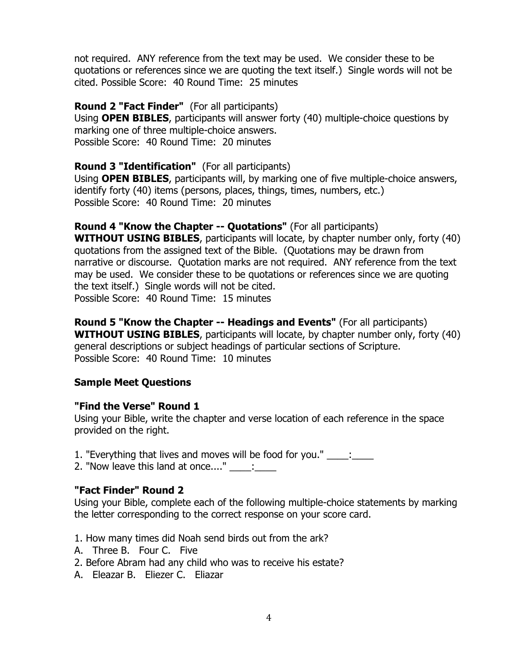not required. ANY reference from the text may be used. We consider these to be quotations or references since we are quoting the text itself.) Single words will not be cited. Possible Score: 40 Round Time: 25 minutes

**Round 2 "Fact Finder"** (For all participants) Using **OPEN BIBLES**, participants will answer forty (40) multiple-choice questions by marking one of three multiple-choice answers. Possible Score: 40 Round Time: 20 minutes

**Round 3 "Identification"** (For all participants) Using **OPEN BIBLES**, participants will, by marking one of five multiple-choice answers, identify forty (40) items (persons, places, things, times, numbers, etc.) Possible Score: 40 Round Time: 20 minutes

#### **Round 4 "Know the Chapter -- Quotations"** (For all participants) **WITHOUT USING BIBLES**, participants will locate, by chapter number only, forty (40) quotations from the assigned text of the Bible. (Quotations may be drawn from narrative or discourse. Quotation marks are not required. ANY reference from the text may be used. We consider these to be quotations or references since we are quoting the text itself.) Single words will not be cited. Possible Score: 40 Round Time: 15 minutes

**Round 5 "Know the Chapter -- Headings and Events"** (For all participants) **WITHOUT USING BIBLES**, participants will locate, by chapter number only, forty (40) general descriptions or subject headings of particular sections of Scripture. Possible Score: 40 Round Time: 10 minutes

#### **Sample Meet Questions**

#### **"Find the Verse" Round 1**

Using your Bible, write the chapter and verse location of each reference in the space provided on the right.

1. "Everything that lives and moves will be food for you." \_\_\_\_: \_\_\_\_

2. "Now leave this land at once...."  $\frac{1}{\sqrt{2}}$ 

#### **"Fact Finder" Round 2**

Using your Bible, complete each of the following multiple-choice statements by marking the letter corresponding to the correct response on your score card.

1. How many times did Noah send birds out from the ark?

- A. Three B. Four C. Five
- 2. Before Abram had any child who was to receive his estate?
- A. Eleazar B. Eliezer C. Eliazar